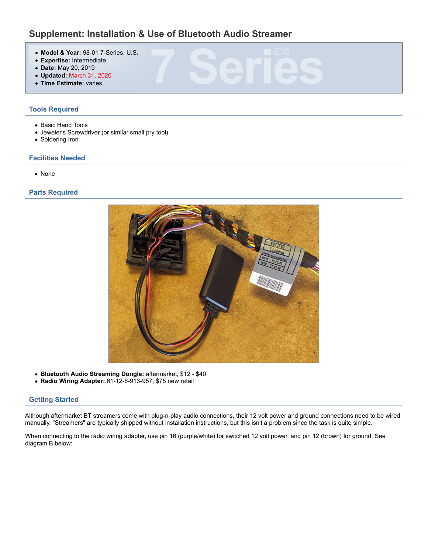# Supplement: Installation & Use of Bluetooth Audio Streamer

- Model & Year: 98-01 7-Series, U.S.
- Expertise: Intermediate<br>• Dato: May 20, 2010
- Date: May 20, 2019
- Updated: March 31, 2020
- Time Estimate: varies

# Tools Required

- Basic Hand Tools
- Jeweler's Screwdriver (or similar small pry tool)
- Soldering Iron

# Facilities Needed

None

# Parts Required



- Bluetooth Audio Streaming Dongle: aftermarket, \$12 \$40.
- Radio Wiring Adapter: 61-12-6-913-957, \$75 new retail

# Getting Started

Although aftermarket BT streamers come with plug-n-play audio connections, their 12 volt power and ground connections need to be wired manually. "Streamers" are typically shipped without installation instructions, but this isn't a problem since the task is quite simple.

When connecting to the radio wiring adapter, use pin 16 (purple/white) for switched 12 volt power, and pin 12 (brown) for ground. See diagram B below: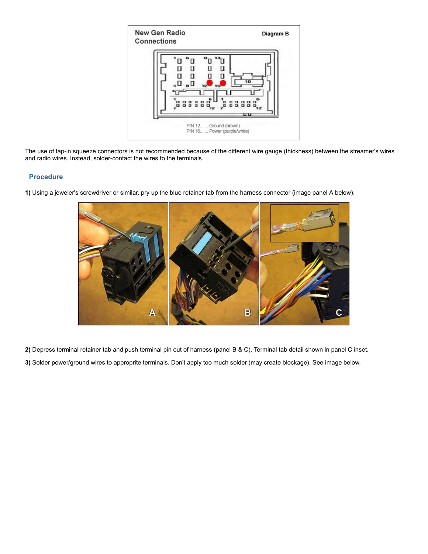

The use of tap-in squeeze connectors is not recommended because of the different wire gauge (thickness) between the streamer's wires and radio wires. Instead, solder-contact the wires to the terminals.

#### Procedure



1) Using a jeweler's screwdriver or similar, pry up the blue retainer tab from the harness connector (image panel A below).

2) Depress terminal retainer tab and push terminal pin out of harness (panel B & C). Terminal tab detail shown in panel C inset.

3) Solder power/ground wires to approprite terminals. Don't apply too much solder (may create blockage). See image below.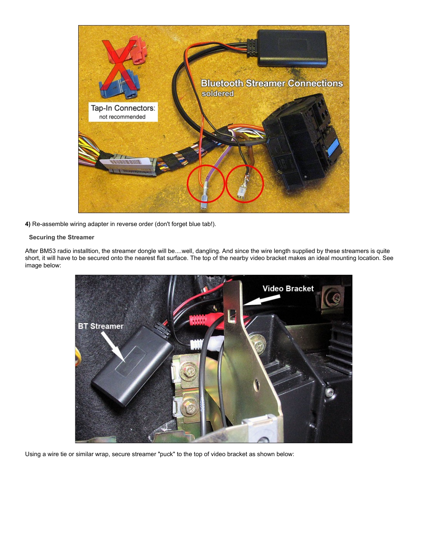

4) Re-assemble wiring adapter in reverse order (don't forget blue tab!).

#### Securing the Streamer

After BM53 radio installtion, the streamer dongle will be....well, dangling. And since the wire length supplied by these streamers is quite short, it will have to be secured onto the nearest flat surface. The top of the nearby video bracket makes an ideal mounting location. See image below:



Using a wire tie or similar wrap, secure streamer "puck" to the top of video bracket as shown below: